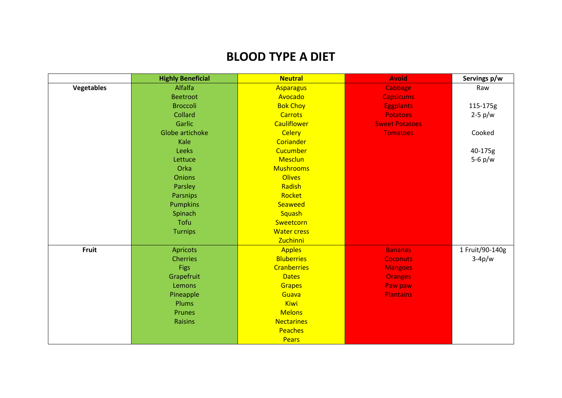## **BLOOD TYPE A DIET**

|            | <b>Highly Beneficial</b> | <b>Neutral</b>     | <b>Avoid</b>          | Servings p/w    |
|------------|--------------------------|--------------------|-----------------------|-----------------|
| Vegetables | Alfalfa                  | <b>Asparagus</b>   | Cabbage               | Raw             |
|            | <b>Beetroot</b>          | Avocado            | <b>Capsicums</b>      |                 |
|            | <b>Broccoli</b>          | <b>Bok Choy</b>    | <b>Eggplants</b>      | 115-175g        |
|            | Collard                  | <b>Carrots</b>     | <b>Potatoes</b>       | $2-5$ p/w       |
|            | Garlic                   | <b>Cauliflower</b> | <b>Sweet Potatoes</b> |                 |
|            | Globe artichoke          | <b>Celery</b>      | <b>Tomatoes</b>       | Cooked          |
|            | Kale                     | Coriander          |                       |                 |
|            | Leeks                    | Cucumber           |                       | 40-175g         |
|            | Lettuce                  | Mesclun            |                       | $5-6$ p/w       |
|            | Orka                     | <b>Mushrooms</b>   |                       |                 |
|            | <b>Onions</b>            | <b>Olives</b>      |                       |                 |
|            | Parsley                  | Radish             |                       |                 |
|            | Parsnips                 | Rocket             |                       |                 |
|            | <b>Pumpkins</b>          | Seaweed            |                       |                 |
|            | Spinach                  | Squash             |                       |                 |
|            | Tofu                     | Sweetcorn          |                       |                 |
|            | <b>Turnips</b>           | <b>Water cress</b> |                       |                 |
|            |                          | Zuchinni           |                       |                 |
| Fruit      | Apricots                 | <b>Apples</b>      | <b>Bananas</b>        | 1 Fruit/90-140g |
|            | <b>Cherries</b>          | <b>Bluberries</b>  | <b>Coconuts</b>       | $3-4p/w$        |
|            | <b>Figs</b>              | <b>Cranberries</b> | <b>Mangoes</b>        |                 |
|            | Grapefruit               | <b>Dates</b>       | <b>Oranges</b>        |                 |
|            | Lemons                   | <b>Grapes</b>      | Paw paw               |                 |
|            | Pineapple                | Guava              | <b>Plantains</b>      |                 |
|            | Plums                    | Kiwi               |                       |                 |
|            | Prunes                   | <b>Melons</b>      |                       |                 |
|            | <b>Raisins</b>           | <b>Nectarines</b>  |                       |                 |
|            |                          | Peaches            |                       |                 |
|            |                          | <b>Pears</b>       |                       |                 |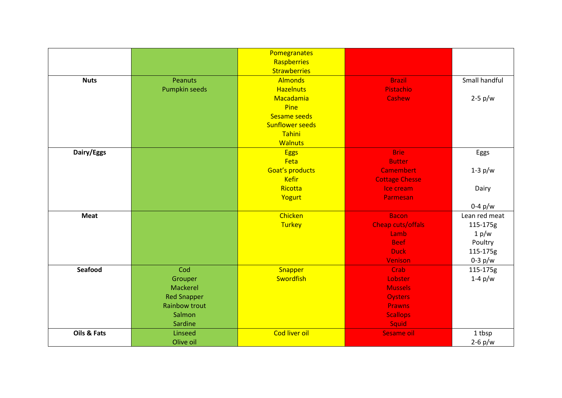|                |                      | Pomegranates           |                       |               |
|----------------|----------------------|------------------------|-----------------------|---------------|
|                |                      | Raspberries            |                       |               |
|                |                      | <b>Strawberries</b>    |                       |               |
| <b>Nuts</b>    | <b>Peanuts</b>       | <b>Almonds</b>         | <b>Brazil</b>         | Small handful |
|                | <b>Pumpkin seeds</b> | <b>Hazelnuts</b>       | Pistachio             |               |
|                |                      | Macadamia              | Cashew                | $2-5$ p/w     |
|                |                      | Pine                   |                       |               |
|                |                      | Sesame seeds           |                       |               |
|                |                      | <b>Sunflower seeds</b> |                       |               |
|                |                      | Tahini                 |                       |               |
|                |                      | <b>Walnuts</b>         |                       |               |
| Dairy/Eggs     |                      | <b>Eggs</b>            | <b>Brie</b>           | Eggs          |
|                |                      | Feta                   | <b>Butter</b>         |               |
|                |                      | Goat's products        | <b>Camembert</b>      | $1-3$ p/w     |
|                |                      | <b>Kefir</b>           | <b>Cottage Chesse</b> |               |
|                |                      | Ricotta                | Ice cream             | Dairy         |
|                |                      | Yogurt                 | Parmesan              |               |
|                |                      |                        |                       | $0-4$ p/w     |
| <b>Meat</b>    |                      | Chicken                | <b>Bacon</b>          | Lean red meat |
|                |                      | <b>Turkey</b>          | Cheap cuts/offals     | 115-175g      |
|                |                      |                        | Lamb                  | 1 p/w         |
|                |                      |                        | <b>Beef</b>           | Poultry       |
|                |                      |                        | <b>Duck</b>           | 115-175g      |
|                |                      |                        | <b>Venison</b>        | $0-3$ p/w     |
| <b>Seafood</b> | Cod                  | Snapper                | Crab                  | 115-175g      |
|                | Grouper              | Swordfish              | Lobster               | $1-4$ p/w     |
|                | Mackerel             |                        | <b>Mussels</b>        |               |
|                | <b>Red Snapper</b>   |                        | <b>Oysters</b>        |               |
|                | <b>Rainbow trout</b> |                        | <b>Prawns</b>         |               |
|                | Salmon               |                        | <b>Scallops</b>       |               |
|                | Sardine              |                        | Squid                 |               |
| Oils & Fats    | Linseed              | Cod liver oil          | Sesame oil            | 1 tbsp        |
|                | Olive oil            |                        |                       | $2-6$ p/w     |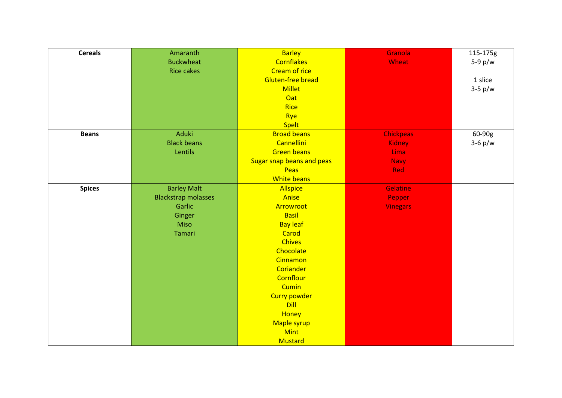| <b>Cereals</b> | Amaranth                   | <b>Barley</b>             | Granola          | 115-175g  |
|----------------|----------------------------|---------------------------|------------------|-----------|
|                | <b>Buckwheat</b>           | <b>Cornflakes</b>         | Wheat            | $5-9$ p/w |
|                | <b>Rice cakes</b>          | <b>Cream of rice</b>      |                  |           |
|                |                            | <b>Gluten-free bread</b>  |                  | 1 slice   |
|                |                            | <b>Millet</b>             |                  | $3-5$ p/w |
|                |                            | Oat                       |                  |           |
|                |                            | <b>Rice</b>               |                  |           |
|                |                            | Rye                       |                  |           |
|                |                            | <b>Spelt</b>              |                  |           |
| <b>Beans</b>   | Aduki                      | <b>Broad beans</b>        | <b>Chickpeas</b> | 60-90g    |
|                | <b>Black beans</b>         | Cannellini                | <b>Kidney</b>    | $3-6$ p/w |
|                | Lentils                    | <b>Green beans</b>        | <b>Lima</b>      |           |
|                |                            | Sugar snap beans and peas | <b>Navy</b>      |           |
|                |                            | Peas                      | Red              |           |
|                |                            | <b>White beans</b>        |                  |           |
| <b>Spices</b>  | <b>Barley Malt</b>         | <b>Allspice</b>           | <b>Gelatine</b>  |           |
|                | <b>Blackstrap molasses</b> | Anise                     | Pepper           |           |
|                | Garlic                     | Arrowroot                 | <b>Vinegars</b>  |           |
|                | Ginger                     | <b>Basil</b>              |                  |           |
|                | <b>Miso</b>                | <b>Bay leaf</b>           |                  |           |
|                | Tamari                     | Carod                     |                  |           |
|                |                            | <b>Chives</b>             |                  |           |
|                |                            | Chocolate                 |                  |           |
|                |                            | Cinnamon                  |                  |           |
|                |                            | Coriander                 |                  |           |
|                |                            | Cornflour                 |                  |           |
|                |                            | <b>Cumin</b>              |                  |           |
|                |                            | <b>Curry powder</b>       |                  |           |
|                |                            | <b>Dill</b>               |                  |           |
|                |                            | Honey                     |                  |           |
|                |                            | Maple syrup               |                  |           |
|                |                            | <b>Mint</b>               |                  |           |
|                |                            | Mustard                   |                  |           |